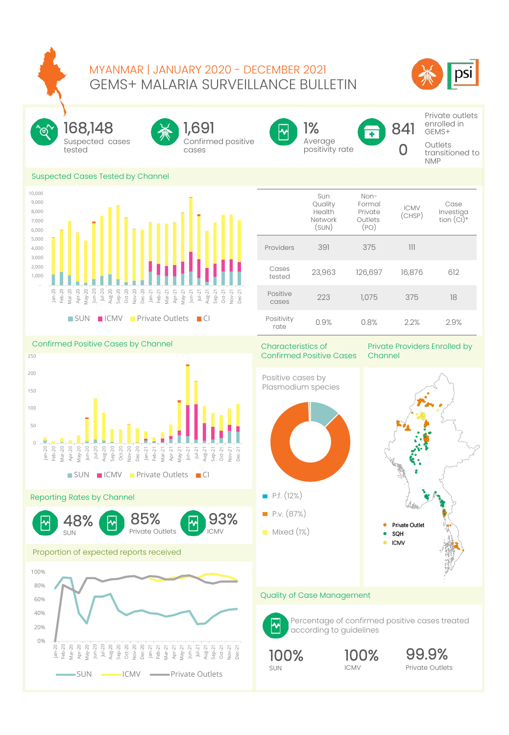## GEMS+ MALARIA SURVEILLANCE BULLETIN MYANMAR | JANUARY 2020 - DECEMBER 2021





 - 1,000 2,000 3,000 4,000 5,000 6,000

Jan-20 Feb-20 Mar-20 Apr-20

 9,000 10,000 Suspected cases tested 168,148



Confirmed positive



Average positivity rate 1%

841  $\Box$ 

Private outlets enrolled in GEMS+

**Outlets** transitioned to NMP



May-20 Jun-20 Jul-20 Aug-20 Sep-20 Oct-20 Nov-20 Dec-20 Jan-21 Feb-21 Mar-21 Apr-21 May-21 Jun-21 Jul-21 Aug-21 Sep-21 Oct-21 Nov-21 Dec-21 **SUN PICMV Private Outlets PCI** 



Confirmed Positive Cases by Channel  $\theta$ 50 100 150 200 250 Jan-20 Feb-20 Mar-20 Apr-20 May-20 Jun-20 Jul-20 Aug-20 Sep-20 Oct-20 Nov-20 Dec-20 Jan-21 Feb-21 Mar-21 Apr-21 May-21 Jun-21 Jul-21 Aug-21 Sep-21 Oct-21  $10v-2$ Dec-21

SUN ICMV Private Outlets CI

## Reporting Rates by Channel



Private Outlets 85%

## Proportion of expected reports received



## Characteristics of Confirmed Positive Cases

Private Providers Enrolled by Channel



### Quality of Case Management



 $\blacksquare$  P.f. (12%)

**P.v.** (87%) **Mixed (1%)** 

CMV 93%

허

Percentage of confirmed positive cases treated according to guidelines



ICMV 100%

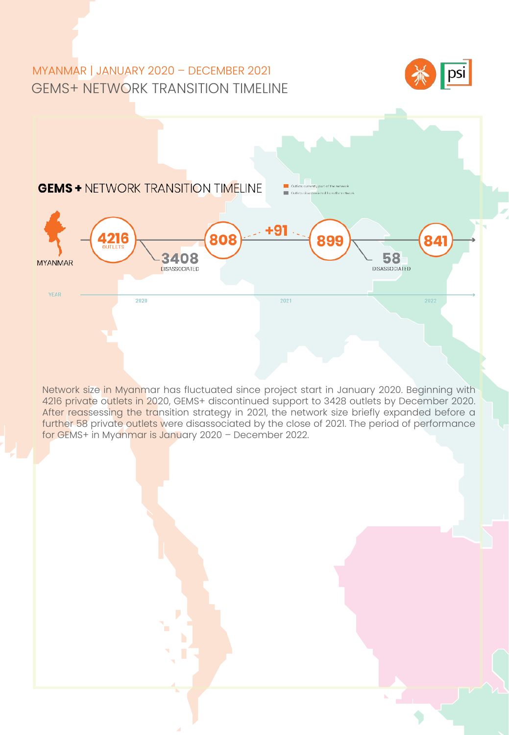# GEMS+ NETWORK TRANSITION TIMELINE MYANMAR | JANUARY 2020 – DECEMBER 2021





4216 private outlets in 2020, GEMS+ discontinued support to 3428 outlets by December 2020.<br><mark>After reass</mark>essi<mark>ng the tra</mark>nsition strategy in 2021, the network size briefly expanded before a Network size in Myanmar has fluctuated since project start in January 2020. Beginning with 4216 private outlets in 2020, GEMS+ discontinued support to 3428 outlets by December 2020. further 58 private outlets were disassociated by the close of 2021. The period of performance for GEMS+ in Myanmar is January 2020 – December 2022.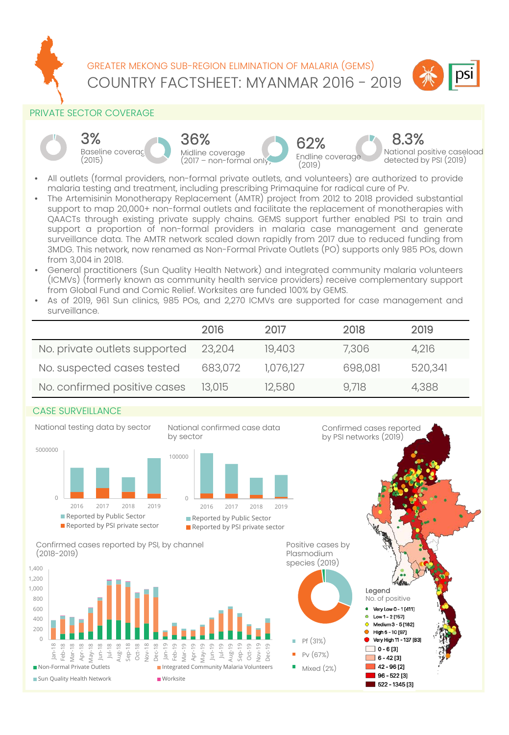

COUNTRY FACTSHEET: MYANMAR 2016 - 2019 GREATER MEKONG SUB-REGION ELIMINATION OF MALARIA (GEMS)



## PRIVATE SECTOR COVERAGE











Confirmed cases reported by PSI networks (2019)

National positive caseload detected by PSI (2019) 8.3%

- All outlets (formal providers, non-formal private outlets, and volunteers) are authorized to provide malaria testing and treatment, including prescribing Primaquine for radical cure of Pv.
- The Artemisinin Monotherapy Replacement (AMTR) project from 2012 to 2018 provided substantial support to map 20,000+ non-formal outlets and facilitate the replacement of monotherapies with QAACTs through existing private supply chains. GEMS support further enabled PSI to train and support a proportion of non-formal providers in malaria case management and generate surveillance data. The AMTR network scaled down rapidly from 2017 due to reduced funding from 3MDG. This network, now renamed as Non-Formal Private Outlets (PO) supports only 985 POs, down from 3,004 in 2018.
- General practitioners (Sun Quality Health Network) and integrated community malaria volunteers (ICMVs) (formerly known as community health service providers) receive complementary support from Global Fund and Comic Relief. Worksites are funded 100% by GEMS.
- As of 2019, 961 Sun clinics, 985 POs, and 2,270 ICMVs are supported for case management and surveillance.

|                               | 2016    | 2017      | 2018    | 2019    |
|-------------------------------|---------|-----------|---------|---------|
| No. private outlets supported | 23,204  | 19,403    | 7,306   | 4,216   |
| No. suspected cases tested    | 683,072 | 1,076,127 | 698,081 | 520,341 |
| No. confirmed positive cases  | 13,015  | 12,580    | 9.718   | 4,388   |

## CASE SURVEILLANCE









Confirmed cases reported by PSI, by channel (2018-2019)



Positive cases by Plasmodium species (2019)